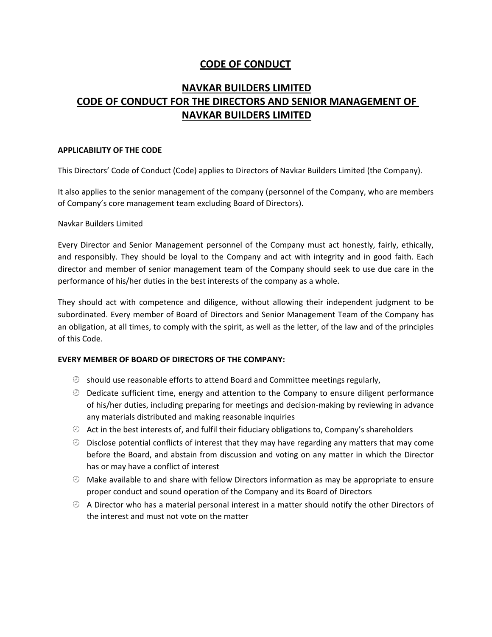# **CODE OF CONDUCT**

# **NAVKAR BUILDERS LIMITED CODE OF CONDUCT FOR THE DIRECTORS AND SENIOR MANAGEMENT OF NAVKAR BUILDERS LIMITED**

# **APPLICABILITY OF THE CODE**

This Directors' Code of Conduct (Code) applies to Directors of Navkar Builders Limited (the Company).

It also applies to the senior management of the company (personnel of the Company, who are members of Company's core management team excluding Board of Directors).

# Navkar Builders Limited

Every Director and Senior Management personnel of the Company must act honestly, fairly, ethically, and responsibly. They should be loyal to the Company and act with integrity and in good faith. Each director and member of senior management team of the Company should seek to use due care in the performance of his/her duties in the best interests of the company as a whole.

They should act with competence and diligence, without allowing their independent judgment to be subordinated. Every member of Board of Directors and Senior Management Team of the Company has an obligation, at all times, to comply with the spirit, as well as the letter, of the law and of the principles of this Code.

# **EVERY MEMBER OF BOARD OF DIRECTORS OF THE COMPANY:**

- $\odot$  should use reasonable efforts to attend Board and Committee meetings regularly,
- $\odot$  Dedicate sufficient time, energy and attention to the Company to ensure diligent performance of his/her duties, including preparing for meetings and decision‐making by reviewing in advance any materials distributed and making reasonable inquiries
- $\odot$  Act in the best interests of, and fulfil their fiduciary obligations to, Company's shareholders
- $\odot$  Disclose potential conflicts of interest that they may have regarding any matters that may come before the Board, and abstain from discussion and voting on any matter in which the Director has or may have a conflict of interest
- $\odot$  Make available to and share with fellow Directors information as may be appropriate to ensure proper conduct and sound operation of the Company and its Board of Directors
- $\odot$  A Director who has a material personal interest in a matter should notify the other Directors of the interest and must not vote on the matter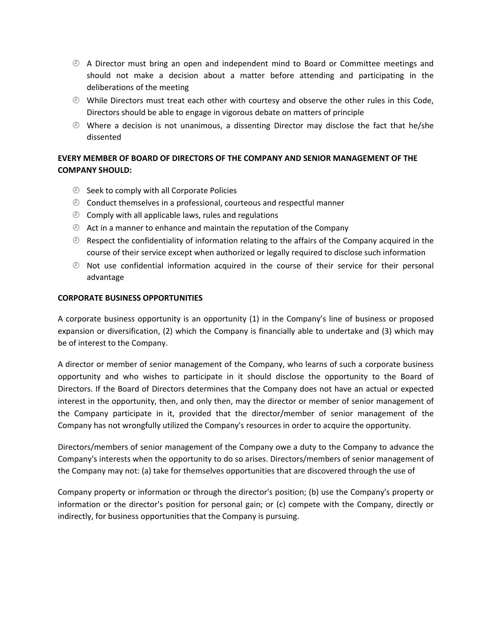- A Director must bring an open and independent mind to Board or Committee meetings and should not make a decision about a matter before attending and participating in the deliberations of the meeting
- While Directors must treat each other with courtesy and observe the other rules in this Code, Directors should be able to engage in vigorous debate on matters of principle
- $\odot$  Where a decision is not unanimous, a dissenting Director may disclose the fact that he/she dissented

# **EVERY MEMBER OF BOARD OF DIRECTORS OF THE COMPANY AND SENIOR MANAGEMENT OF THE COMPANY SHOULD:**

- $\circledcirc$  Seek to comply with all Corporate Policies
- $\odot$  Conduct themselves in a professional, courteous and respectful manner
- $\circledcirc$  Comply with all applicable laws, rules and regulations
- $\odot$  Act in a manner to enhance and maintain the reputation of the Company
- $\odot$  Respect the confidentiality of information relating to the affairs of the Company acquired in the course of their service except when authorized or legally required to disclose such information
- $\odot$  Not use confidential information acquired in the course of their service for their personal advantage

# **CORPORATE BUSINESS OPPORTUNITIES**

A corporate business opportunity is an opportunity (1) in the Company's line of business or proposed expansion or diversification, (2) which the Company is financially able to undertake and (3) which may be of interest to the Company.

A director or member of senior management of the Company, who learns of such a corporate business opportunity and who wishes to participate in it should disclose the opportunity to the Board of Directors. If the Board of Directors determines that the Company does not have an actual or expected interest in the opportunity, then, and only then, may the director or member of senior management of the Company participate in it, provided that the director/member of senior management of the Company has not wrongfully utilized the Company's resources in order to acquire the opportunity.

Directors/members of senior management of the Company owe a duty to the Company to advance the Company's interests when the opportunity to do so arises. Directors/members of senior management of the Company may not: (a) take for themselves opportunities that are discovered through the use of

Company property or information or through the director's position; (b) use the Company's property or information or the director's position for personal gain; or (c) compete with the Company, directly or indirectly, for business opportunities that the Company is pursuing.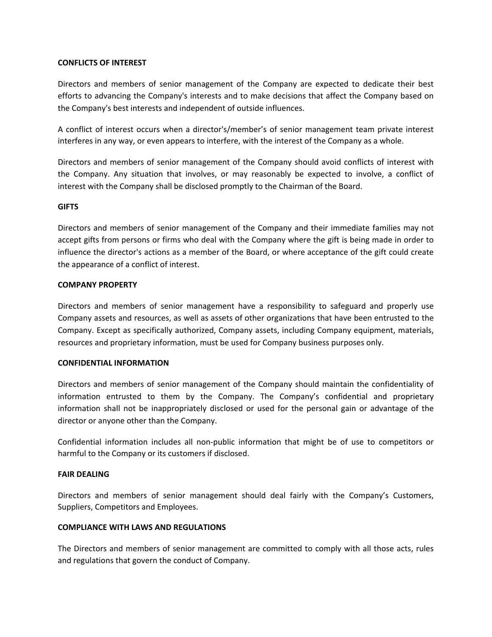#### **CONFLICTS OF INTEREST**

Directors and members of senior management of the Company are expected to dedicate their best efforts to advancing the Company's interests and to make decisions that affect the Company based on the Company's best interests and independent of outside influences.

A conflict of interest occurs when a director's/member's of senior management team private interest interferes in any way, or even appears to interfere, with the interest of the Company as a whole.

Directors and members of senior management of the Company should avoid conflicts of interest with the Company. Any situation that involves, or may reasonably be expected to involve, a conflict of interest with the Company shall be disclosed promptly to the Chairman of the Board.

#### **GIFTS**

Directors and members of senior management of the Company and their immediate families may not accept gifts from persons or firms who deal with the Company where the gift is being made in order to influence the director's actions as a member of the Board, or where acceptance of the gift could create the appearance of a conflict of interest.

#### **COMPANY PROPERTY**

Directors and members of senior management have a responsibility to safeguard and properly use Company assets and resources, as well as assets of other organizations that have been entrusted to the Company. Except as specifically authorized, Company assets, including Company equipment, materials, resources and proprietary information, must be used for Company business purposes only.

#### **CONFIDENTIAL INFORMATION**

Directors and members of senior management of the Company should maintain the confidentiality of information entrusted to them by the Company. The Company's confidential and proprietary information shall not be inappropriately disclosed or used for the personal gain or advantage of the director or anyone other than the Company.

Confidential information includes all non‐public information that might be of use to competitors or harmful to the Company or its customers if disclosed.

#### **FAIR DEALING**

Directors and members of senior management should deal fairly with the Company's Customers, Suppliers, Competitors and Employees.

#### **COMPLIANCE WITH LAWS AND REGULATIONS**

The Directors and members of senior management are committed to comply with all those acts, rules and regulations that govern the conduct of Company.